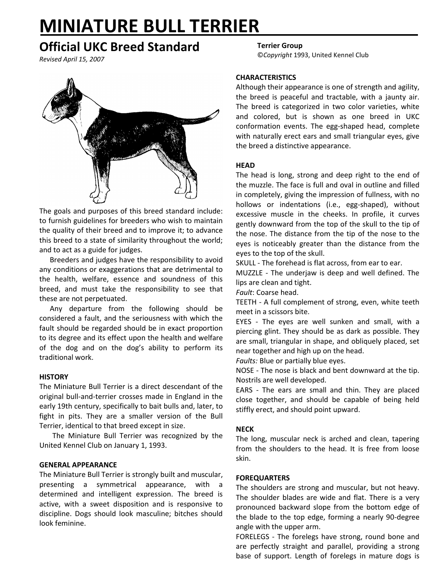# **MINIATURE BULL TERRIER**

# **Official UKC Breed Standard**

*Revised April 15, 2007*



The goals and purposes of this breed standard include: to furnish guidelines for breeders who wish to maintain the quality of their breed and to improve it; to advance this breed to a state of similarity throughout the world; and to act as a guide for judges.

Breeders and judges have the responsibility to avoid any conditions or exaggerations that are detrimental to the health, welfare, essence and soundness of this breed, and must take the responsibility to see that these are not perpetuated.

Any departure from the following should be considered a fault, and the seriousness with which the fault should be regarded should be in exact proportion to its degree and its effect upon the health and welfare of the dog and on the dog's ability to perform its traditional work.

# **HISTORY**

The Miniature Bull Terrier is a direct descendant of the original bull-and-terrier crosses made in England in the early 19th century, specifically to bait bulls and, later, to fight in pits. They are a smaller version of the Bull Terrier, identical to that breed except in size.

The Miniature Bull Terrier was recognized by the United Kennel Club on January 1, 1993.

# **GENERAL APPEARANCE**

The Miniature Bull Terrier is strongly built and muscular, presenting a symmetrical appearance, with a determined and intelligent expression. The breed is active, with a sweet disposition and is responsive to discipline. Dogs should look masculine; bitches should look feminine.

# **Terrier Group**

©*Copyright* 1993, United Kennel Club

#### **CHARACTERISTICS**

Although their appearance is one of strength and agility, the breed is peaceful and tractable, with a jaunty air. The breed is categorized in two color varieties, white and colored, but is shown as one breed in UKC conformation events. The egg-shaped head, complete with naturally erect ears and small triangular eyes, give the breed a distinctive appearance.

#### **HEAD**

The head is long, strong and deep right to the end of the muzzle. The face is full and oval in outline and filled in completely, giving the impression of fullness, with no hollows or indentations (i.e., egg-shaped), without excessive muscle in the cheeks. In profile, it curves gently downward from the top of the skull to the tip of the nose. The distance from the tip of the nose to the eyes is noticeably greater than the distance from the eyes to the top of the skull.

SKULL - The forehead is flat across, from ear to ear.

MUZZLE - The underjaw is deep and well defined. The lips are clean and tight.

*Fault*: Coarse head.

TEETH - A full complement of strong, even, white teeth meet in a scissors bite.

EYES - The eyes are well sunken and small, with a piercing glint. They should be as dark as possible. They are small, triangular in shape, and obliquely placed, set near together and high up on the head.

*Faults:* Blue or partially blue eyes.

NOSE - The nose is black and bent downward at the tip. Nostrils are well developed.

EARS - The ears are small and thin. They are placed close together, and should be capable of being held stiffly erect, and should point upward.

# **NECK**

The long, muscular neck is arched and clean, tapering from the shoulders to the head. It is free from loose skin.

#### **FOREQUARTERS**

The shoulders are strong and muscular, but not heavy. The shoulder blades are wide and flat. There is a very pronounced backward slope from the bottom edge of the blade to the top edge, forming a nearly 90-degree angle with the upper arm.

FORELEGS - The forelegs have strong, round bone and are perfectly straight and parallel, providing a strong base of support. Length of forelegs in mature dogs is